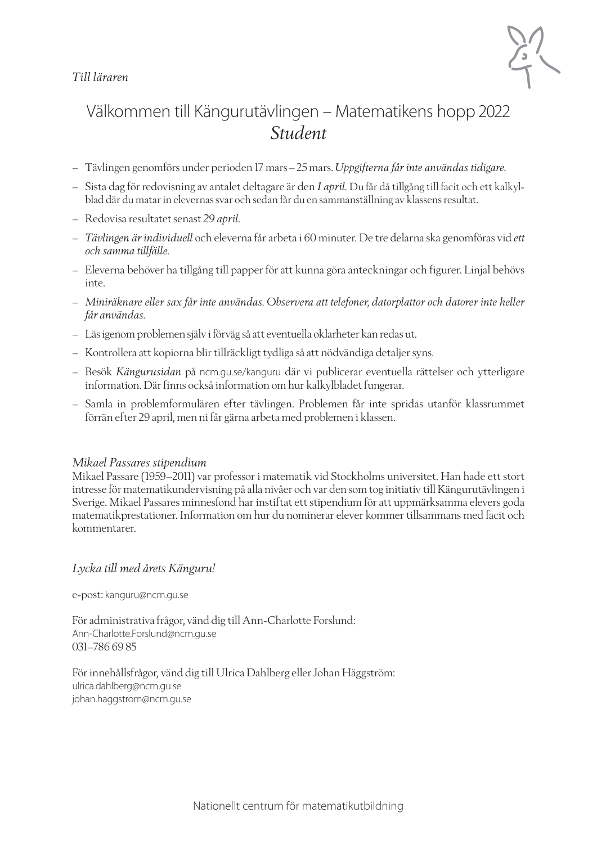### *Till läraren*



## Välkommen till Kängurutävlingen – Matematikens hopp 2022 *Student*

- Tävlingen genomförs under perioden 17 mars–25 mars. *Uppgifterna får inte användas tidigare*.
- Sista dag för redovisning av antalet deltagare är den *1 april.* Du får då tillgång till facit och ett kalkylblad där du matar in elevernas svar och sedan får du en sammanställning av klassens resultat.
- Redovisa resultatet senast *29 april.*
- *Tävlingen är individuell* och eleverna får arbeta i 60 minuter. De tre delarna ska genomföras vid *ett och samma tillfälle.*
- Eleverna behöver ha tillgång till papper för att kunna göra anteckningar och figurer. Linjal behövs inte.
- *Miniräknare eller sax får inte användas. Observera att telefoner, datorplattor och datorer inte heller får användas.*
- Läs igenom problemen själv i förväg så att eventuella oklarheter kan redas ut.
- Kontrollera att kopiorna blir tillräckligt tydliga så att nödvändiga detaljer syns.
- Besök *Kängurusidan* på ncm.gu.se/kanguru där vi publicerar eventuella rättelser och ytterligare information. Där finns också information om hur kalkylbladet fungerar.
- Samla in problemformulären efter tävlingen. Problemen får inte spridas utanför klassrummet förrän efter 29 april, men ni får gärna arbeta med problemen i klassen.

#### *Mikael Passares stipendium*

Mikael Passare (1959–2011) var professor i matematik vid Stockholms universitet. Han hade ett stort intresse för matematikundervisning på alla nivåer och var den som tog initiativ till Kängurutävlingen i Sverige. Mikael Passares minnesfond har instiftat ett stipendium för att uppmärksamma elevers goda matematikprestationer. Information om hur du nominerar elever kommer tillsammans med facit och kommentarer.

#### *Lycka till med årets Känguru!*

e-post: kanguru@ncm.gu.se

För administrativa frågor, vänd dig till Ann-Charlotte Forslund: Ann-Charlotte.Forslund@ncm.gu.se 031–786 69 85

För innehållsfrågor, vänd dig till Ulrica Dahlberg eller Johan Häggström: ulrica.dahlberg@ncm.gu.se johan.haggstrom@ncm.gu.se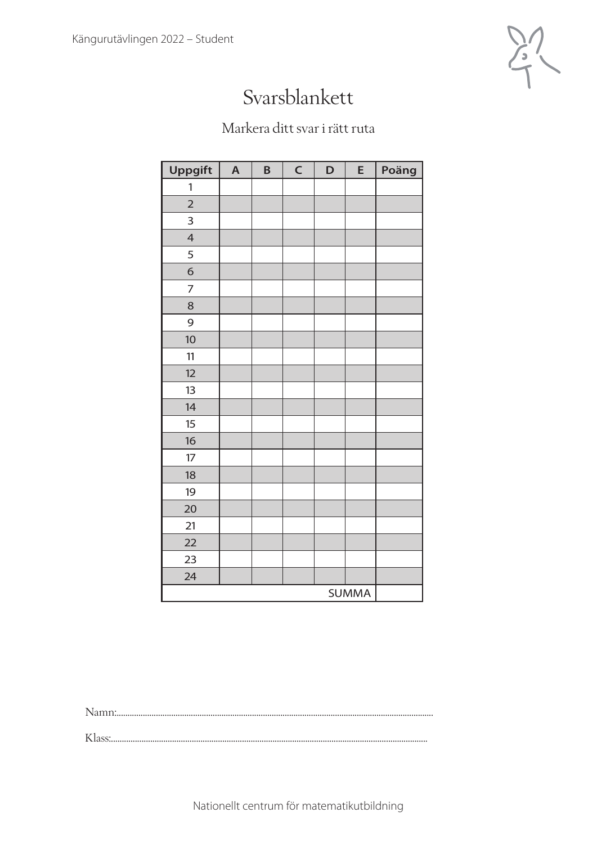

## Svarsblankett

## Markera ditt svar i rätt ruta

| <b>Uppgift</b> | $\boldsymbol{\mathsf{A}}$ | B | $\mathsf{C}$ | D | E | Poäng |
|----------------|---------------------------|---|--------------|---|---|-------|
| 1              |                           |   |              |   |   |       |
| $\overline{2}$ |                           |   |              |   |   |       |
| 3              |                           |   |              |   |   |       |
| $\overline{4}$ |                           |   |              |   |   |       |
| 5              |                           |   |              |   |   |       |
| 6              |                           |   |              |   |   |       |
| $\overline{7}$ |                           |   |              |   |   |       |
| 8              |                           |   |              |   |   |       |
| 9              |                           |   |              |   |   |       |
| 10             |                           |   |              |   |   |       |
| 11             |                           |   |              |   |   |       |
| 12             |                           |   |              |   |   |       |
| 13             |                           |   |              |   |   |       |
| 14             |                           |   |              |   |   |       |
| 15             |                           |   |              |   |   |       |
| 16             |                           |   |              |   |   |       |
| 17             |                           |   |              |   |   |       |
| 18             |                           |   |              |   |   |       |
| 19             |                           |   |              |   |   |       |
| 20             |                           |   |              |   |   |       |
| 21             |                           |   |              |   |   |       |
| 22             |                           |   |              |   |   |       |
| 23             |                           |   |              |   |   |       |
| 24             |                           |   |              |   |   |       |
| <b>SUMMA</b>   |                           |   |              |   |   |       |

Namn:.................................................................................................................................................

Klass:.................................................................................................................................................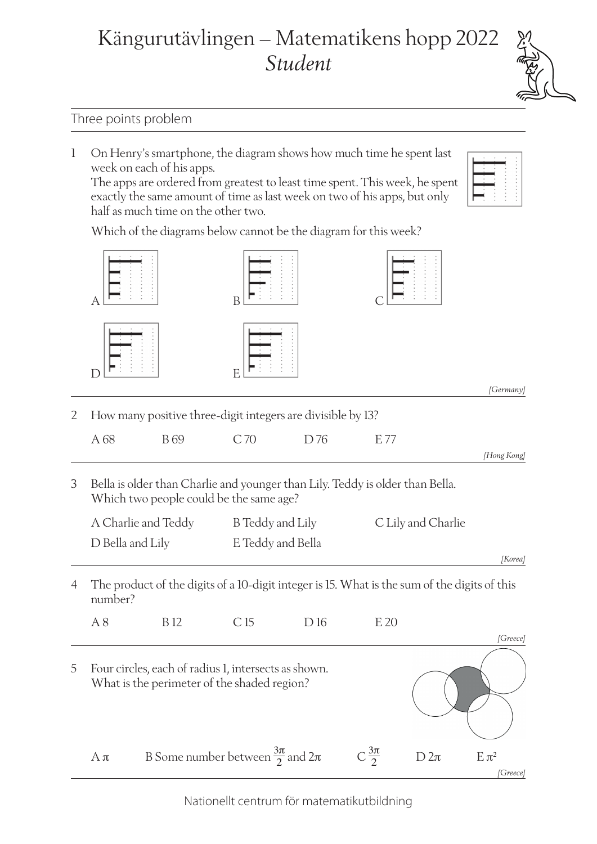# Kängurutävlingen – Matematikens hopp 2022 *Student*

### Three points problem

1 On Henry's smartphone, the diagram shows how much time he spent last week on each of his apps.

The apps are ordered from greatest to least time spent. This week, he spent exactly the same amount of time as last week on two of his apps, but only half as much time on the other two.

*[Greece]*

Which of the diagrams below cannot be the diagram for this week?

|   |                     |                                                                                                                          | B                       |     |                   |                    |             |
|---|---------------------|--------------------------------------------------------------------------------------------------------------------------|-------------------------|-----|-------------------|--------------------|-------------|
|   |                     |                                                                                                                          | E                       |     |                   |                    | [Germany]   |
| 2 |                     | How many positive three-digit integers are divisible by 13?                                                              |                         |     |                   |                    |             |
|   | A 68                | <b>B</b> 69                                                                                                              | C 70                    | D76 | E 77              |                    |             |
|   |                     |                                                                                                                          |                         |     |                   |                    | [Hong Kong] |
| 3 |                     | Bella is older than Charlie and younger than Lily. Teddy is older than Bella.<br>Which two people could be the same age? |                         |     |                   |                    |             |
|   | A Charlie and Teddy |                                                                                                                          | <b>B</b> Teddy and Lily |     |                   | C Lily and Charlie |             |
|   | D Bella and Lily    |                                                                                                                          | E Teddy and Bella       |     |                   |                    |             |
|   |                     |                                                                                                                          |                         |     |                   |                    | [Korea]     |
| 4 | number?             | The product of the digits of a 10-digit integer is 15. What is the sum of the digits of this                             |                         |     |                   |                    |             |
|   | A8                  | <b>B</b> 12                                                                                                              | C15                     | D16 | E 20              |                    |             |
|   |                     |                                                                                                                          |                         |     |                   |                    | [Greece]    |
| 5 |                     | Four circles, each of radius 1, intersects as shown.<br>What is the perimeter of the shaded region?                      |                         |     |                   |                    |             |
|   | $A\pi$              | B Some number between $\frac{3\pi}{2}$ and $2\pi$                                                                        |                         |     | $C\frac{3\pi}{2}$ | $D$ 2 $\pi$        | $E \pi^2$   |

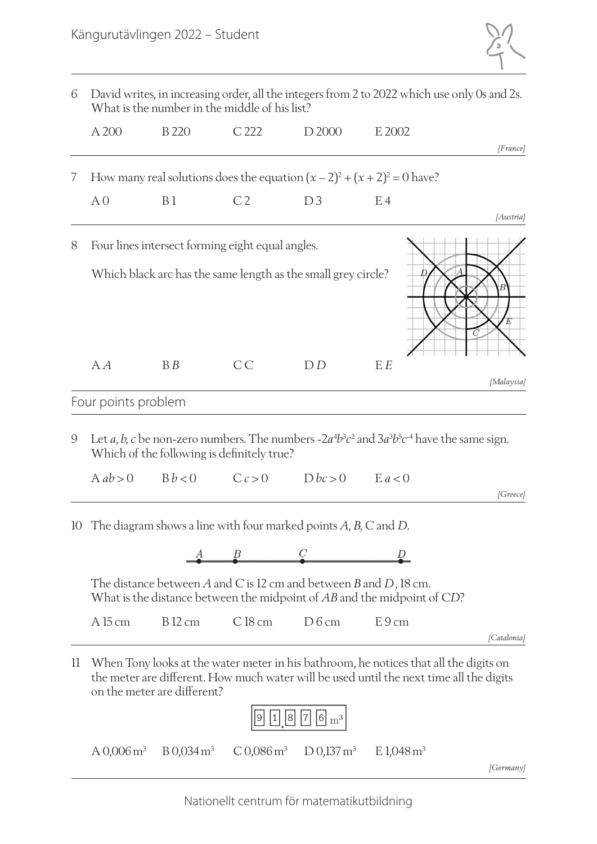

| David writes, in increasing order, all the integers from 2 to 2022 which use only 0s and 2s.<br>6<br>What is the number in the middle of his list? |                     |                                                                               |                |                                              |                                                                                                                                                                                  |             |
|----------------------------------------------------------------------------------------------------------------------------------------------------|---------------------|-------------------------------------------------------------------------------|----------------|----------------------------------------------|----------------------------------------------------------------------------------------------------------------------------------------------------------------------------------|-------------|
|                                                                                                                                                    | A 200               | <b>B</b> 220                                                                  | C 222          | D <sub>2000</sub>                            | E 2002                                                                                                                                                                           |             |
|                                                                                                                                                    |                     |                                                                               |                |                                              |                                                                                                                                                                                  | [France]    |
| 7                                                                                                                                                  |                     |                                                                               |                |                                              | How many real solutions does the equation $(x - 2)^2 + (x + 2)^2 = 0$ have?                                                                                                      |             |
|                                                                                                                                                    | A <sub>0</sub>      | B <sub>1</sub>                                                                | C <sub>2</sub> | D3                                           | E <sub>4</sub>                                                                                                                                                                   | [Austria]   |
| 8                                                                                                                                                  |                     | Four lines intersect forming eight equal angles.                              |                |                                              |                                                                                                                                                                                  |             |
|                                                                                                                                                    |                     | Which black arc has the same length as the small grey circle?                 |                |                                              |                                                                                                                                                                                  | E           |
|                                                                                                                                                    | A                   | B B                                                                           | CC             | D D                                          | E E                                                                                                                                                                              | [Malaysia]  |
|                                                                                                                                                    | Four points problem |                                                                               |                |                                              |                                                                                                                                                                                  |             |
| 9                                                                                                                                                  |                     | Which of the following is definitely true?                                    |                |                                              | Let a, b, c be non-zero numbers. The numbers - $2a^4b^3c^2$ and $3a^3b^5c^4$ have the same sign.                                                                                 |             |
|                                                                                                                                                    | $A$ ab $> 0$        | Bb < 0                                                                        | C c > 0        | Dbc > 0                                      | E a < 0                                                                                                                                                                          | [Greece]    |
|                                                                                                                                                    |                     | 10 The diagram shows a line with four marked points $A$ , $B$ , $C$ and $D$ . |                |                                              |                                                                                                                                                                                  |             |
|                                                                                                                                                    |                     |                                                                               | $\frac{B}{2}$  |                                              |                                                                                                                                                                                  |             |
|                                                                                                                                                    |                     | The distance between A and C is 12 cm and between B and D, 18 cm.             |                |                                              | What is the distance between the midpoint of AB and the midpoint of CD?                                                                                                          |             |
|                                                                                                                                                    | A 15 cm             | <b>B</b> 12 cm                                                                | $C18$ cm       | D6cm                                         | E9cm                                                                                                                                                                             | [Catalonia] |
| $\mathop{\mathrm{ll}}$                                                                                                                             |                     | on the meter are different?                                                   |                | $\left  6 \right  \mathrm{m}^3$<br> 7 <br> 8 | When Tony looks at the water meter in his bathroom, he notices that all the digits on<br>the meter are different. How much water will be used until the next time all the digits |             |

| $A\,0,006\,\mathrm{m}^3$ | B 0,034 m <sup>3</sup> | C 0,086 m <sup>3</sup> | D 0,137 m <sup>3</sup> | $E1,048 \,\mathrm{m}^3$ |
|--------------------------|------------------------|------------------------|------------------------|-------------------------|
|                          |                        |                        |                        |                         |

*[Germany]*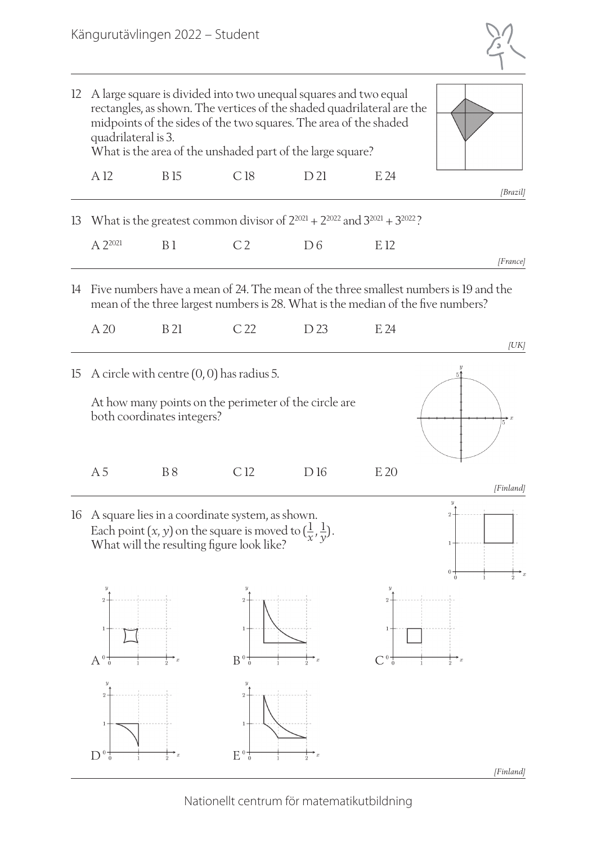

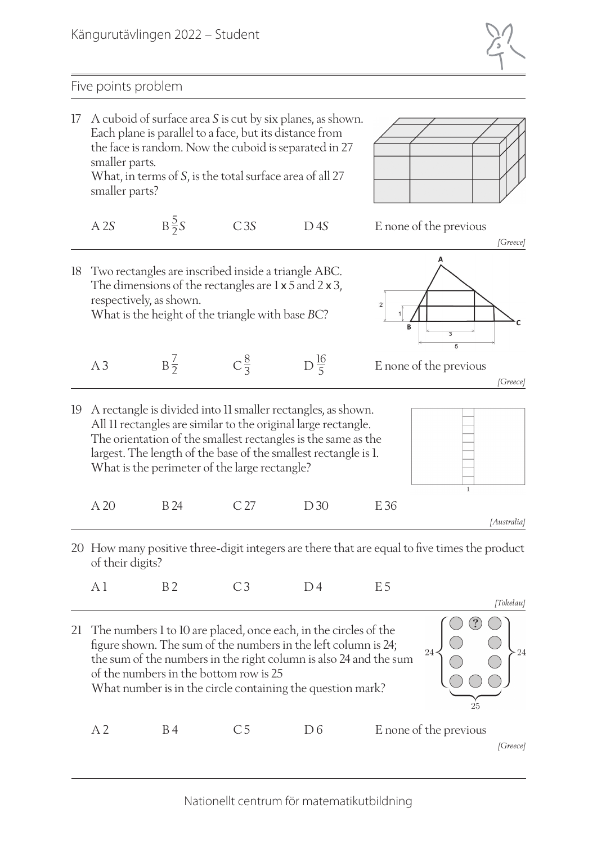

### Five points problem